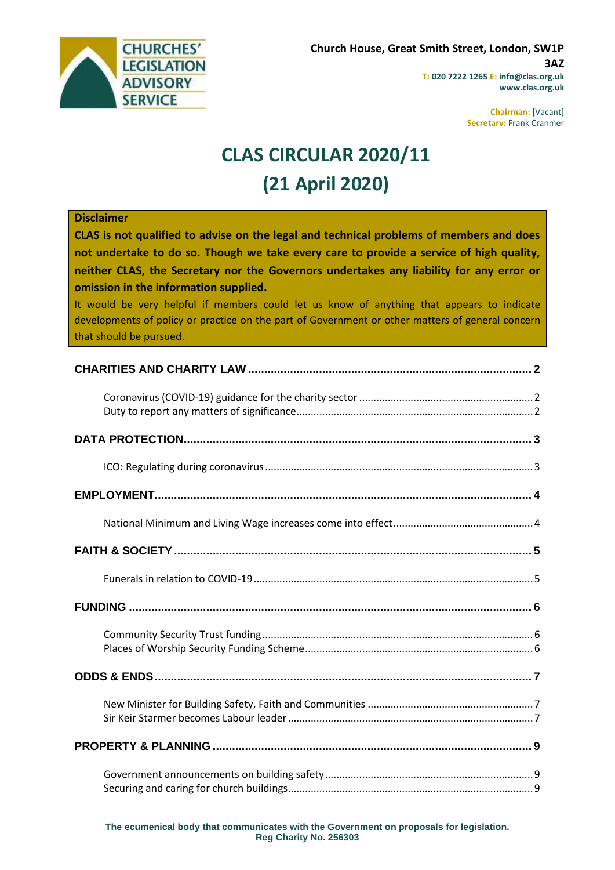

**Chairman:** [Vacant] **Secretary:** Frank Cranmer

# **CLAS CIRCULAR 2020/11 (21 April 2020)**

| <b>Disclaimer</b><br>CLAS is not qualified to advise on the legal and technical problems of members and does<br>not undertake to do so. Though we take every care to provide a service of high quality,<br>neither CLAS, the Secretary nor the Governors undertakes any liability for any error or<br>omission in the information supplied.<br>It would be very helpful if members could let us know of anything that appears to indicate<br>developments of policy or practice on the part of Government or other matters of general concern<br>that should be pursued. |
|--------------------------------------------------------------------------------------------------------------------------------------------------------------------------------------------------------------------------------------------------------------------------------------------------------------------------------------------------------------------------------------------------------------------------------------------------------------------------------------------------------------------------------------------------------------------------|
|                                                                                                                                                                                                                                                                                                                                                                                                                                                                                                                                                                          |
|                                                                                                                                                                                                                                                                                                                                                                                                                                                                                                                                                                          |
|                                                                                                                                                                                                                                                                                                                                                                                                                                                                                                                                                                          |
|                                                                                                                                                                                                                                                                                                                                                                                                                                                                                                                                                                          |
|                                                                                                                                                                                                                                                                                                                                                                                                                                                                                                                                                                          |
|                                                                                                                                                                                                                                                                                                                                                                                                                                                                                                                                                                          |
|                                                                                                                                                                                                                                                                                                                                                                                                                                                                                                                                                                          |
|                                                                                                                                                                                                                                                                                                                                                                                                                                                                                                                                                                          |
|                                                                                                                                                                                                                                                                                                                                                                                                                                                                                                                                                                          |
|                                                                                                                                                                                                                                                                                                                                                                                                                                                                                                                                                                          |
|                                                                                                                                                                                                                                                                                                                                                                                                                                                                                                                                                                          |
|                                                                                                                                                                                                                                                                                                                                                                                                                                                                                                                                                                          |
|                                                                                                                                                                                                                                                                                                                                                                                                                                                                                                                                                                          |
|                                                                                                                                                                                                                                                                                                                                                                                                                                                                                                                                                                          |

**The ecumenical body that communicates with the Government on proposals for legislation. Reg Charity No. 256303**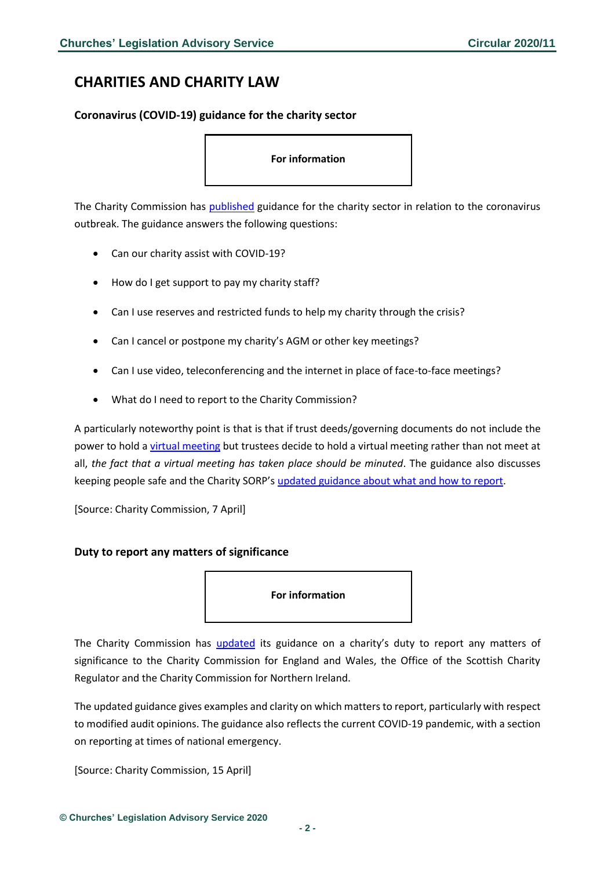# <span id="page-1-0"></span>**CHARITIES AND CHARITY LAW**

<span id="page-1-1"></span>**Coronavirus (COVID-19) guidance for the charity sector**

#### **For information**

The Charity Commission has [published](https://www.gov.uk/government/news/coronavirus-covid-19-guidance-for-the-charity-sector?utm_source=71b1d992-ff57-4381-8272-0d4fe502994b&utm_medium=email&utm_campaign=govuk-notifications&utm_content=daily) guidance for the charity sector in relation to the coronavirus outbreak. The guidance answers the following questions:

- Can our charity assist with COVID-19?
- How do I get support to pay my charity staff?
- Can I use reserves and restricted funds to help my charity through the crisis?
- Can I cancel or postpone my charity's AGM or other key meetings?
- Can I use video, teleconferencing and the internet in place of face-to-face meetings?
- What do I need to report to the Charity Commission?

A particularly noteworthy point is that is that if trust deeds/governing documents do not include the power to hold [a virtual meeting](https://www.gov.uk/guidance/coronavirus-covid-19-guidance-for-the-charity-sector#holding-meetings-online-or-by-telephone) but trustees decide to hold a virtual meeting rather than not meet at all, *the fact that a virtual meeting has taken place should be minuted*. The guidance also discusses keeping people safe and the Charity SORP's [updated guidance about what and how to report.](https://www.charitysorp.org/)

[Source: Charity Commission, 7 April]

#### <span id="page-1-2"></span>**Duty to report any matters of significance**

**For information** 

The Charity Commission has [updated](https://assets.publishing.service.gov.uk/government/uploads/system/uploads/attachment_data/file/879491/20200129_-_Matters_of_Material_Significance_guidance_April_2020__FINAL_.pdf) its guidance on a charity's duty to report any matters of significance to the Charity Commission for England and Wales, the Office of the Scottish Charity Regulator and the Charity Commission for Northern Ireland.

The updated guidance gives examples and clarity on which matters to report, particularly with respect to modified audit opinions. The guidance also reflects the current COVID-19 pandemic, with a section on reporting at times of national emergency.

[Source: Charity Commission, 15 April]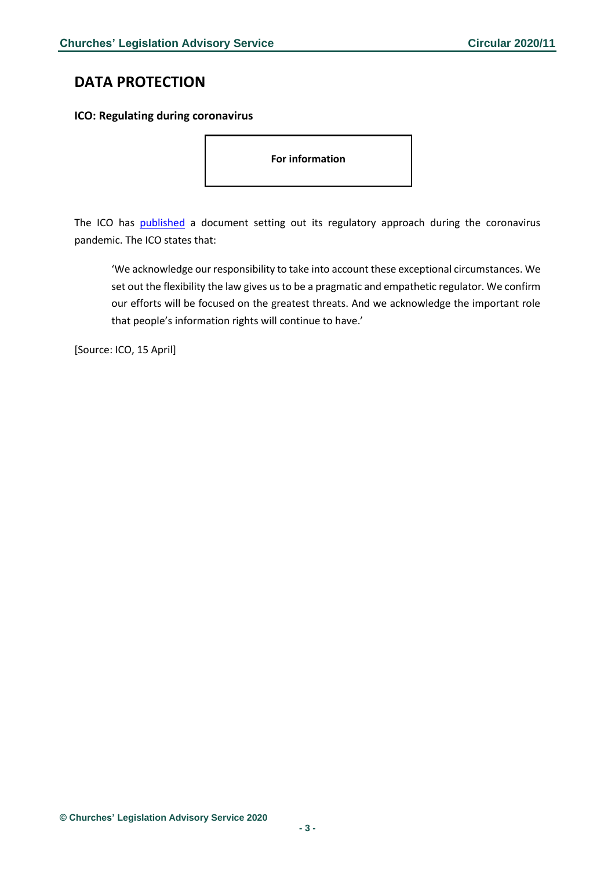# <span id="page-2-0"></span>**DATA PROTECTION**

#### <span id="page-2-1"></span>**ICO: Regulating during coronavirus**

**For information** 

The ICO has [published](https://ico.org.uk/about-the-ico/news-and-events/news-and-blogs/2020/04/how-we-will-regulate-during-coronavirus/?utm_source=Bates%20Wells%20Braithwaite&utm_medium=email&utm_campaign=11487529_Briefing%2021.04.20&dm_i=1Y95,6U7U1,EQ23A5,RF08J,1) a document setting out its regulatory approach during the coronavirus pandemic. The ICO states that:

'We acknowledge our responsibility to take into account these exceptional circumstances. We set out the flexibility the law gives us to be a pragmatic and empathetic regulator. We confirm our efforts will be focused on the greatest threats. And we acknowledge the important role that people's information rights will continue to have.'

[Source: ICO, 15 April]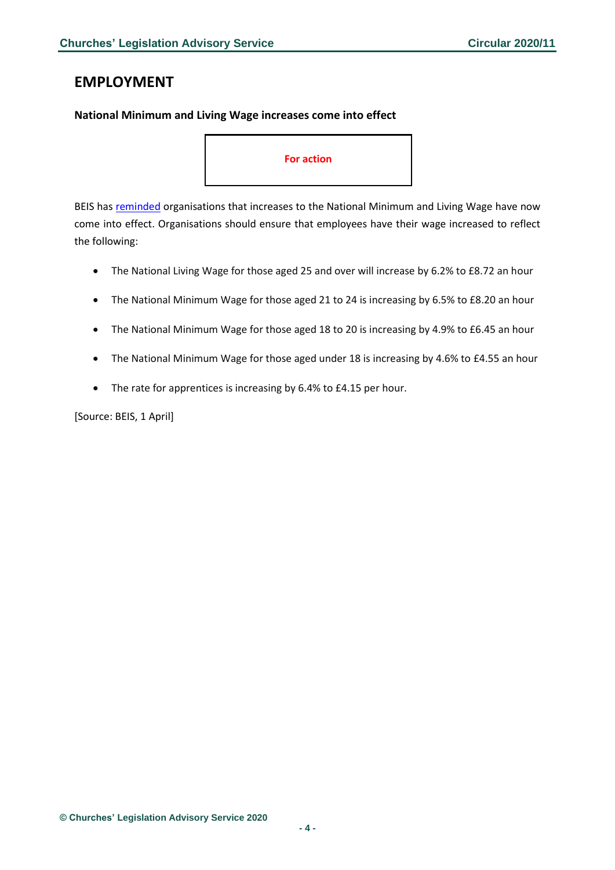### <span id="page-3-0"></span>**EMPLOYMENT**

#### <span id="page-3-1"></span>**National Minimum and Living Wage increases come into effect**

#### **For action**

BEIS has [reminded](https://www.gov.uk/government/news/national-minimum-and-living-wage-increases-come-into-effect?utm_source=ba5b5168-2397-4c5a-8eaa-14f5f70d5828&utm_medium=email&utm_campaign=govuk-notifications&utm_content=daily) organisations that increases to the National Minimum and Living Wage have now come into effect. Organisations should ensure that employees have their wage increased to reflect the following:

- The National Living Wage for those aged 25 and over will increase by 6.2% to £8.72 an hour
- The National Minimum Wage for those aged 21 to 24 is increasing by 6.5% to £8.20 an hour
- The National Minimum Wage for those aged 18 to 20 is increasing by 4.9% to £6.45 an hour
- The National Minimum Wage for those aged under 18 is increasing by 4.6% to £4.55 an hour
- The rate for apprentices is increasing by 6.4% to £4.15 per hour.

[Source: BEIS, 1 April]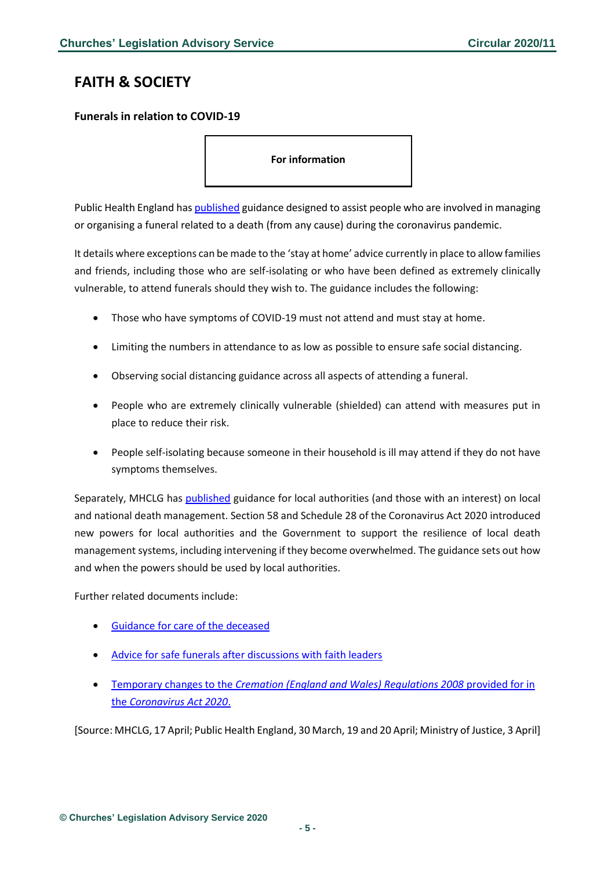# <span id="page-4-0"></span>**FAITH & SOCIETY**

### <span id="page-4-1"></span>**Funerals in relation to COVID-19**

**For information** 

Public Health England ha[s published](https://www.gov.uk/government/publications/covid-19-guidance-for-managing-a-funeral-during-the-coronavirus-pandemic/covid-19-guidance-for-managing-a-funeral-during-the-coronavirus-pandemic) guidance designed to assist people who are involved in managing or organising a funeral related to a death (from any cause) during the coronavirus pandemic.

It details where exceptions can be made to the 'stay at home' advice currently in place to allow families and friends, including those who are self-isolating or who have been defined as extremely clinically vulnerable, to attend funerals should they wish to. The guidance includes the following:

- Those who have symptoms of COVID-19 must not attend and must stay at home.
- Limiting the numbers in attendance to as low as possible to ensure safe social distancing.
- Observing social distancing guidance across all aspects of attending a funeral.
- People who are extremely clinically vulnerable (shielded) can attend with measures put in place to reduce their risk.
- People self-isolating because someone in their household is ill may attend if they do not have symptoms themselves.

Separately, MHCLG has [published](https://assets.publishing.service.gov.uk/government/uploads/system/uploads/attachment_data/file/880047/Schedule_28_local_death_management_guidance.pdf) guidance for local authorities (and those with an interest) on local and national death management. Section 58 and Schedule 28 of the Coronavirus Act 2020 introduced new powers for local authorities and the Government to support the resilience of local death management systems, including intervening if they become overwhelmed. The guidance sets out how and when the powers should be used by local authorities.

Further related documents include:

- [Guidance for care of the deceased](https://www.gov.uk/government/publications/covid-19-guidance-for-care-of-the-deceased/guidance-for-care-of-the-deceased-with-suspected-or-confirmed-coronavirus-covid-19)
- [Advice for safe funerals after discussions with faith leaders](https://www.gov.uk/government/news/new-advice-for-safe-funerals-after-discussions-with-faith-leaders?utm_source=50b9f071-54a8-4f63-9010-d22c22723cc0&utm_medium=email&utm_campaign=govuk-notifications&utm_content=daily)
- Temporary changes to the *[Cremation \(England and Wales\) Regulations 2008](https://assets.publishing.service.gov.uk/government/uploads/system/uploads/attachment_data/file/878087/revised-guidance-to-applicants.pdf)* provided for in the *[Coronavirus Act 2020](https://assets.publishing.service.gov.uk/government/uploads/system/uploads/attachment_data/file/878087/revised-guidance-to-applicants.pdf)*.

[Source: MHCLG, 17 April; Public Health England, 30 March, 19 and 20 April; Ministry of Justice, 3 April]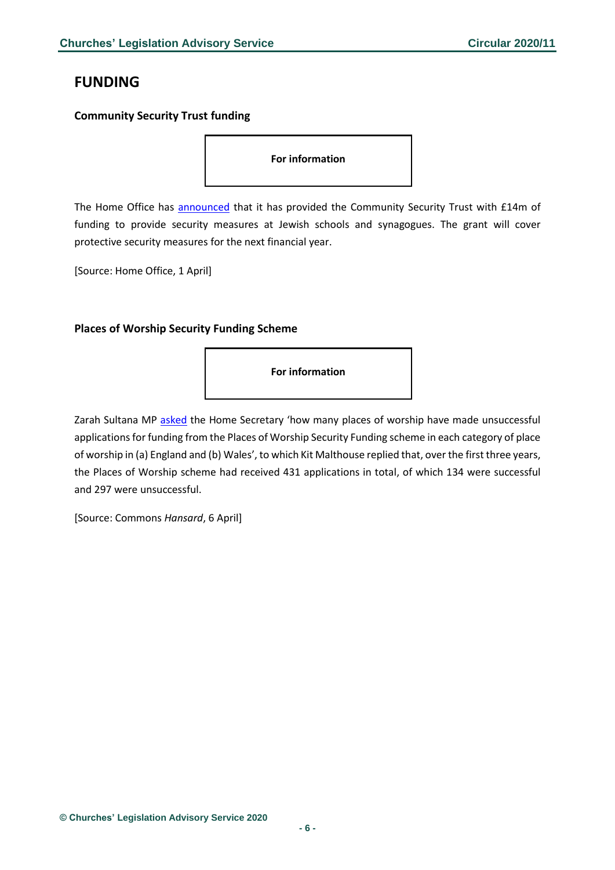# <span id="page-5-0"></span>**FUNDING**

### <span id="page-5-1"></span>**Community Security Trust funding**

**For information** 

The Home Office has [announced](https://www.gov.uk/government/news/home-office-grants-14-million-funding-for-security-at-jewish-institutions) that it has provided the Community Security Trust with £14m of funding to provide security measures at Jewish schools and synagogues. The grant will cover protective security measures for the next financial year.

[Source: Home Office, 1 April]

### <span id="page-5-2"></span>**Places of Worship Security Funding Scheme**

**For information** 

Zarah Sultana MP [asked](https://www.parliament.uk/business/publications/written-questions-answers-statements/written-question/Commons/2020-03-06/26191/) the Home Secretary 'how many places of worship have made unsuccessful applications for funding from the Places of Worship Security Funding scheme in each category of place of worship in (a) England and (b) Wales', to which Kit Malthouse replied that, over the first three years, the Places of Worship scheme had received 431 applications in total, of which 134 were successful and 297 were unsuccessful.

[Source: Commons *Hansard*, 6 April]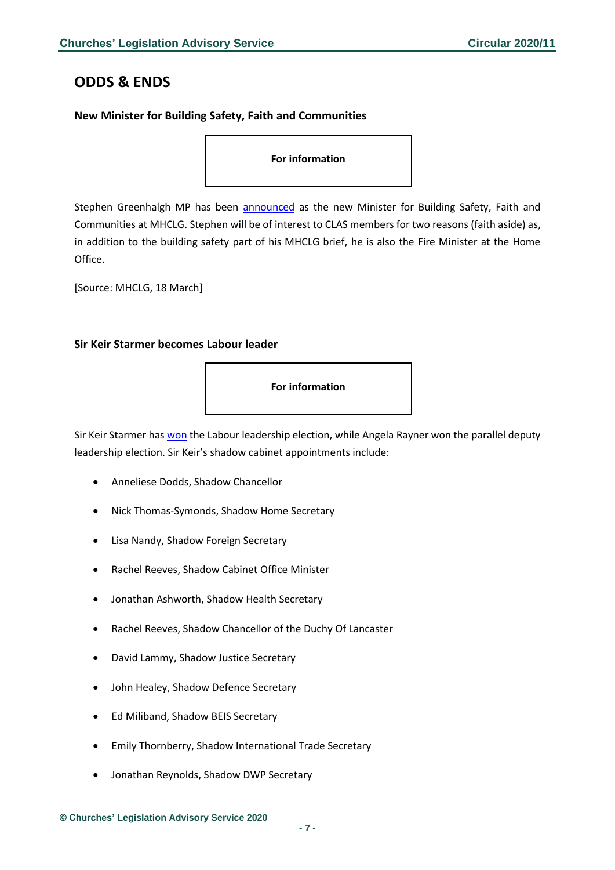### <span id="page-6-0"></span>**ODDS & ENDS**

### <span id="page-6-1"></span>**New Minister for Building Safety, Faith and Communities**

**For information** 

Stephen Greenhalgh MP has been [announced](https://www.gov.uk/government/people/stephen-greenhalgh) as the new Minister for Building Safety, Faith and Communities at MHCLG. Stephen will be of interest to CLAS members for two reasons (faith aside) as, in addition to the building safety part of his MHCLG brief, he is also the Fire Minister at the Home Office.

[Source: MHCLG, 18 March]

### <span id="page-6-2"></span>**Sir Keir Starmer becomes Labour leader**

**For information** 

Sir Keir Starmer ha[s won](https://labour.org.uk/people/leadership-elections-hub-2020/leadership-elections-2020-results/) the Labour leadership election, while Angela Rayner won the parallel deputy leadership election. Sir Keir's shadow cabinet appointments include:

- Anneliese Dodds, Shadow Chancellor
- Nick Thomas-Symonds, Shadow Home Secretary
- Lisa Nandy, Shadow Foreign Secretary
- Rachel Reeves, Shadow Cabinet Office Minister
- Jonathan Ashworth, Shadow Health Secretary
- Rachel Reeves, Shadow Chancellor of the Duchy Of Lancaster
- David Lammy, Shadow Justice Secretary
- John Healey, Shadow Defence Secretary
- Ed Miliband, Shadow BEIS Secretary
- Emily Thornberry, Shadow International Trade Secretary
- Jonathan Reynolds, Shadow DWP Secretary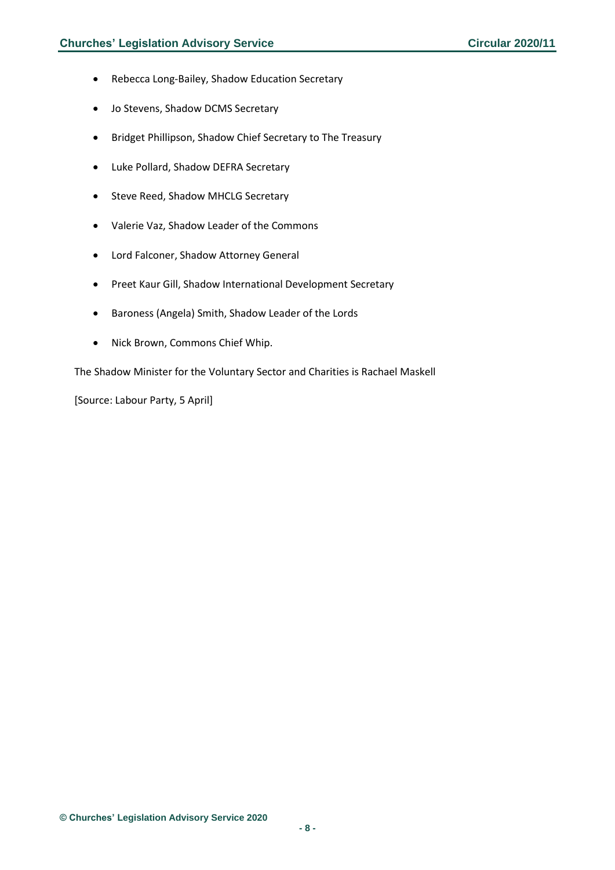- Rebecca Long-Bailey, Shadow Education Secretary
- Jo Stevens, Shadow DCMS Secretary
- Bridget Phillipson, Shadow Chief Secretary to The Treasury
- Luke Pollard, Shadow DEFRA Secretary
- Steve Reed, Shadow MHCLG Secretary
- Valerie Vaz, Shadow Leader of the Commons
- Lord Falconer, Shadow Attorney General
- Preet Kaur Gill, Shadow International Development Secretary
- Baroness (Angela) Smith, Shadow Leader of the Lords
- Nick Brown, Commons Chief Whip.

The Shadow Minister for the Voluntary Sector and Charities is Rachael Maskell

[Source: Labour Party, 5 April]